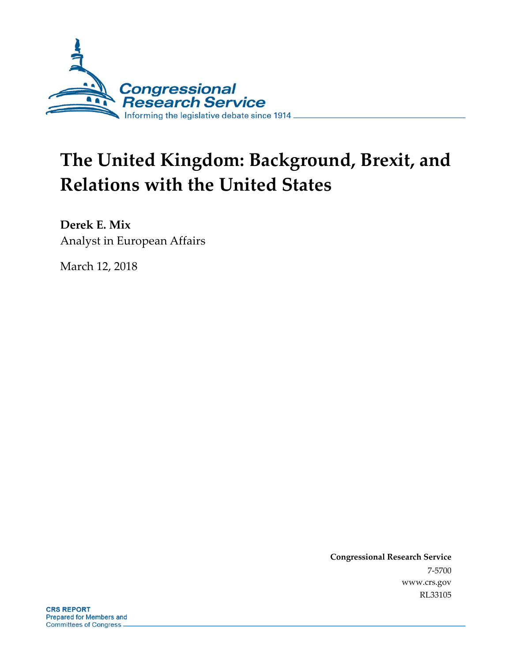

# **The United Kingdom: Background, Brexit, and Relations with the United States**

**Derek E. Mix** Analyst in European Affairs

March 12, 2018

**Congressional Research Service** 7-5700 www.crs.gov RL33105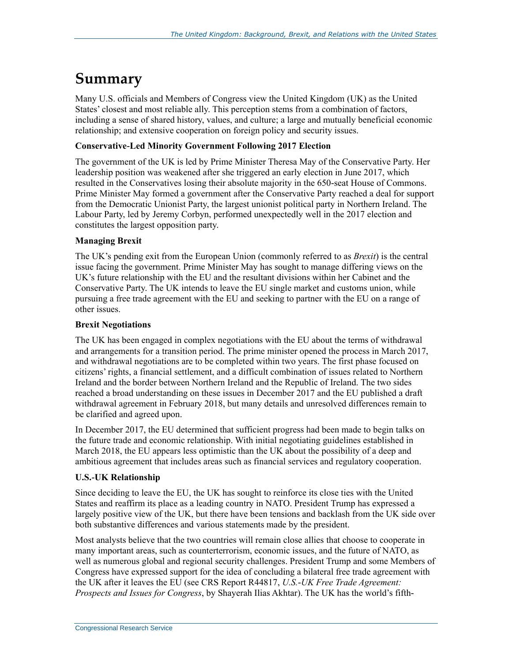### **Summary**

Many U.S. officials and Members of Congress view the United Kingdom (UK) as the United States' closest and most reliable ally. This perception stems from a combination of factors, including a sense of shared history, values, and culture; a large and mutually beneficial economic relationship; and extensive cooperation on foreign policy and security issues.

#### **Conservative-Led Minority Government Following 2017 Election**

The government of the UK is led by Prime Minister Theresa May of the Conservative Party. Her leadership position was weakened after she triggered an early election in June 2017, which resulted in the Conservatives losing their absolute majority in the 650-seat House of Commons. Prime Minister May formed a government after the Conservative Party reached a deal for support from the Democratic Unionist Party, the largest unionist political party in Northern Ireland. The Labour Party, led by Jeremy Corbyn, performed unexpectedly well in the 2017 election and constitutes the largest opposition party.

#### **Managing Brexit**

The UK's pending exit from the European Union (commonly referred to as *Brexit*) is the central issue facing the government. Prime Minister May has sought to manage differing views on the UK's future relationship with the EU and the resultant divisions within her Cabinet and the Conservative Party. The UK intends to leave the EU single market and customs union, while pursuing a free trade agreement with the EU and seeking to partner with the EU on a range of other issues.

#### **Brexit Negotiations**

The UK has been engaged in complex negotiations with the EU about the terms of withdrawal and arrangements for a transition period. The prime minister opened the process in March 2017, and withdrawal negotiations are to be completed within two years. The first phase focused on citizens' rights, a financial settlement, and a difficult combination of issues related to Northern Ireland and the border between Northern Ireland and the Republic of Ireland. The two sides reached a broad understanding on these issues in December 2017 and the EU published a draft withdrawal agreement in February 2018, but many details and unresolved differences remain to be clarified and agreed upon.

In December 2017, the EU determined that sufficient progress had been made to begin talks on the future trade and economic relationship. With initial negotiating guidelines established in March 2018, the EU appears less optimistic than the UK about the possibility of a deep and ambitious agreement that includes areas such as financial services and regulatory cooperation.

#### **U.S.-UK Relationship**

Since deciding to leave the EU, the UK has sought to reinforce its close ties with the United States and reaffirm its place as a leading country in NATO. President Trump has expressed a largely positive view of the UK, but there have been tensions and backlash from the UK side over both substantive differences and various statements made by the president.

Most analysts believe that the two countries will remain close allies that choose to cooperate in many important areas, such as counterterrorism, economic issues, and the future of NATO, as well as numerous global and regional security challenges. President Trump and some Members of Congress have expressed support for the idea of concluding a bilateral free trade agreement with the UK after it leaves the EU (see CRS Report R44817, *U.S.-UK Free Trade Agreement: Prospects and Issues for Congress*, by Shayerah Ilias Akhtar). The UK has the world's fifth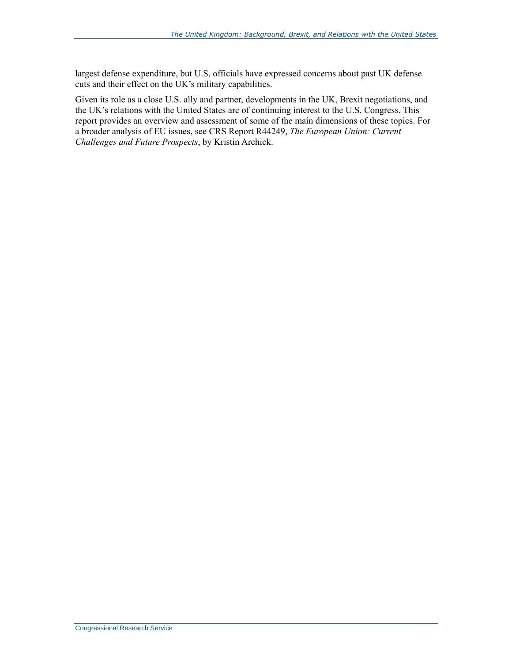largest defense expenditure, but U.S. officials have expressed concerns about past UK defense cuts and their effect on the UK's military capabilities.

Given its role as a close U.S. ally and partner, developments in the UK, Brexit negotiations, and the UK's relations with the United States are of continuing interest to the U.S. Congress. This report provides an overview and assessment of some of the main dimensions of these topics. For a broader analysis of EU issues, see CRS Report R44249, *The European Union: Current Challenges and Future Prospects*, by Kristin Archick.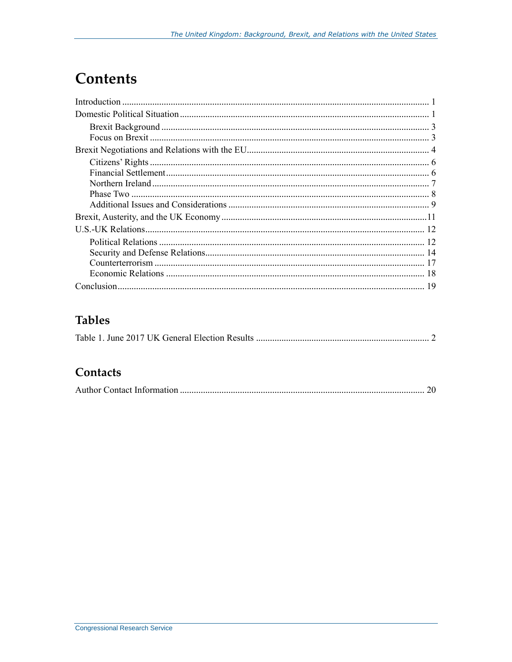## **Contents**

### **Tables**

|--|

### Contacts

|--|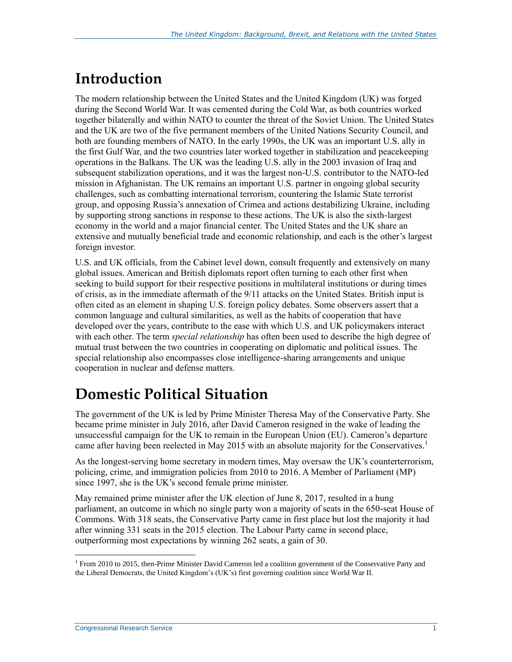## **Introduction**

The modern relationship between the United States and the United Kingdom (UK) was forged during the Second World War. It was cemented during the Cold War, as both countries worked together bilaterally and within NATO to counter the threat of the Soviet Union. The United States and the UK are two of the five permanent members of the United Nations Security Council, and both are founding members of NATO. In the early 1990s, the UK was an important U.S. ally in the first Gulf War, and the two countries later worked together in stabilization and peacekeeping operations in the Balkans. The UK was the leading U.S. ally in the 2003 invasion of Iraq and subsequent stabilization operations, and it was the largest non-U.S. contributor to the NATO-led mission in Afghanistan. The UK remains an important U.S. partner in ongoing global security challenges, such as combatting international terrorism, countering the Islamic State terrorist group, and opposing Russia's annexation of Crimea and actions destabilizing Ukraine, including by supporting strong sanctions in response to these actions. The UK is also the sixth-largest economy in the world and a major financial center. The United States and the UK share an extensive and mutually beneficial trade and economic relationship, and each is the other's largest foreign investor.

U.S. and UK officials, from the Cabinet level down, consult frequently and extensively on many global issues. American and British diplomats report often turning to each other first when seeking to build support for their respective positions in multilateral institutions or during times of crisis, as in the immediate aftermath of the 9/11 attacks on the United States. British input is often cited as an element in shaping U.S. foreign policy debates. Some observers assert that a common language and cultural similarities, as well as the habits of cooperation that have developed over the years, contribute to the ease with which U.S. and UK policymakers interact with each other. The term *special relationship* has often been used to describe the high degree of mutual trust between the two countries in cooperating on diplomatic and political issues. The special relationship also encompasses close intelligence-sharing arrangements and unique cooperation in nuclear and defense matters.

## **Domestic Political Situation**

The government of the UK is led by Prime Minister Theresa May of the Conservative Party. She became prime minister in July 2016, after David Cameron resigned in the wake of leading the unsuccessful campaign for the UK to remain in the European Union (EU). Cameron's departure came after having been reelected in May 2015 with an absolute majority for the Conservatives.<sup>1</sup>

As the longest-serving home secretary in modern times, May oversaw the UK's counterterrorism, policing, crime, and immigration policies from 2010 to 2016. A Member of Parliament (MP) since 1997, she is the UK's second female prime minister.

May remained prime minister after the UK election of June 8, 2017, resulted in a hung parliament, an outcome in which no single party won a majority of seats in the 650-seat House of Commons. With 318 seats, the Conservative Party came in first place but lost the majority it had after winning 331 seats in the 2015 election. The Labour Party came in second place, outperforming most expectations by winning 262 seats, a gain of 30.

<sup>&</sup>lt;sup>1</sup> From 2010 to 2015, then-Prime Minister David Cameron led a coalition government of the Conservative Party and the Liberal Democrats, the United Kingdom's (UK's) first governing coalition since World War II.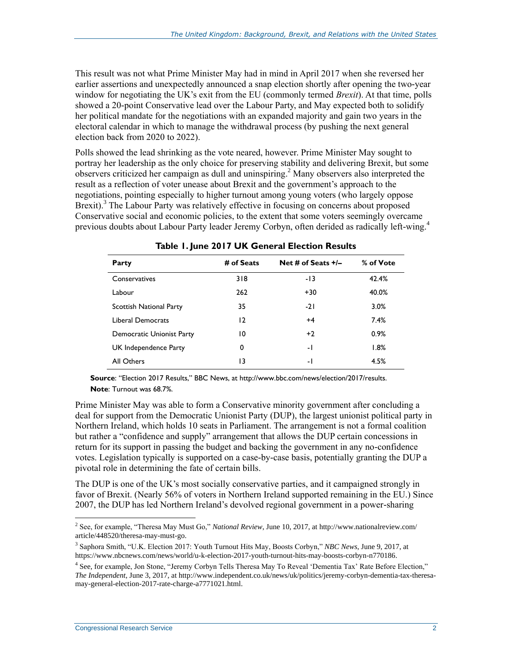This result was not what Prime Minister May had in mind in April 2017 when she reversed her earlier assertions and unexpectedly announced a snap election shortly after opening the two-year window for negotiating the UK's exit from the EU (commonly termed *Brexit*). At that time, polls showed a 20-point Conservative lead over the Labour Party, and May expected both to solidify her political mandate for the negotiations with an expanded majority and gain two years in the electoral calendar in which to manage the withdrawal process (by pushing the next general election back from 2020 to 2022).

Polls showed the lead shrinking as the vote neared, however. Prime Minister May sought to portray her leadership as the only choice for preserving stability and delivering Brexit, but some observers criticized her campaign as dull and uninspiring. <sup>2</sup> Many observers also interpreted the result as a reflection of voter unease about Brexit and the government's approach to the negotiations, pointing especially to higher turnout among young voters (who largely oppose Brexit).<sup>3</sup> The Labour Party was relatively effective in focusing on concerns about proposed Conservative social and economic policies, to the extent that some voters seemingly overcame previous doubts about Labour Party leader Jeremy Corbyn, often derided as radically left-wing.<sup>4</sup>

| Party                     | # of Seats | Net # of Seats $+/-$ | % of Vote |
|---------------------------|------------|----------------------|-----------|
| Conservatives             | 318        | -13                  | 42.4%     |
| Labour                    | 262        | $+30$                | 40.0%     |
| Scottish National Party   | 35         | $-21$                | 3.0%      |
| Liberal Democrats         | 12         | $+4$                 | 7.4%      |
| Democratic Unionist Party | 10         | $+2$                 | 0.9%      |
| UK Independence Party     | 0          | $\mathbf{-}$         | 1.8%      |
| All Others                | 13         | $\mathbf{-}$         | 4.5%      |

|  |  |  |  |  |  | Table 1. June 2017 UK General Election Results |  |
|--|--|--|--|--|--|------------------------------------------------|--|
|--|--|--|--|--|--|------------------------------------------------|--|

**Source**: "Election 2017 Results," BBC News, at http://www.bbc.com/news/election/2017/results. **Note**: Turnout was 68.7%.

Prime Minister May was able to form a Conservative minority government after concluding a deal for support from the Democratic Unionist Party (DUP), the largest unionist political party in Northern Ireland, which holds 10 seats in Parliament. The arrangement is not a formal coalition but rather a "confidence and supply" arrangement that allows the DUP certain concessions in return for its support in passing the budget and backing the government in any no-confidence votes. Legislation typically is supported on a case-by-case basis, potentially granting the DUP a pivotal role in determining the fate of certain bills.

The DUP is one of the UK's most socially conservative parties, and it campaigned strongly in favor of Brexit. (Nearly 56% of voters in Northern Ireland supported remaining in the EU.) Since 2007, the DUP has led Northern Ireland's devolved regional government in a power-sharing

 2 See, for example, "Theresa May Must Go," *National Review*, June 10, 2017, at http://www.nationalreview.com/ article/448520/theresa-may-must-go.

<sup>3</sup> Saphora Smith, "U.K. Election 2017: Youth Turnout Hits May, Boosts Corbyn," *NBC News*, June 9, 2017, at https://www.nbcnews.com/news/world/u-k-election-2017-youth-turnout-hits-may-boosts-corbyn-n770186.

<sup>&</sup>lt;sup>4</sup> See, for example, Jon Stone, "Jeremy Corbyn Tells Theresa May To Reveal 'Dementia Tax' Rate Before Election," *The Independent*, June 3, 2017, at http://www.independent.co.uk/news/uk/politics/jeremy-corbyn-dementia-tax-theresamay-general-election-2017-rate-charge-a7771021.html.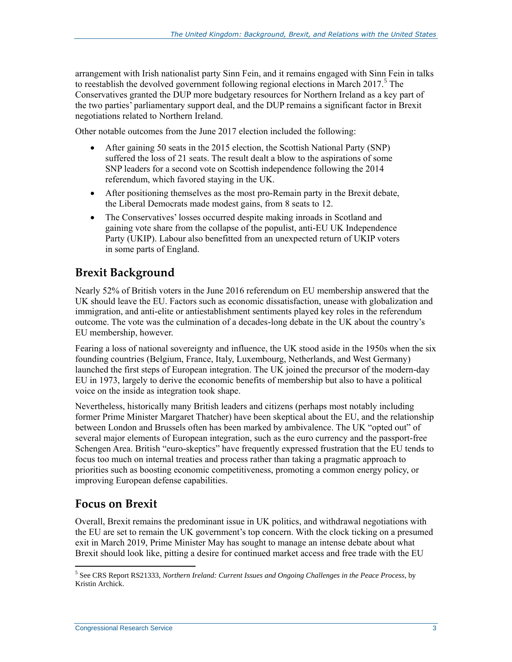arrangement with Irish nationalist party Sinn Fein, and it remains engaged with Sinn Fein in talks to reestablish the devolved government following regional elections in March  $2017<sup>5</sup>$  The Conservatives granted the DUP more budgetary resources for Northern Ireland as a key part of the two parties' parliamentary support deal, and the DUP remains a significant factor in Brexit negotiations related to Northern Ireland.

Other notable outcomes from the June 2017 election included the following:

- After gaining 50 seats in the 2015 election, the Scottish National Party (SNP) suffered the loss of 21 seats. The result dealt a blow to the aspirations of some SNP leaders for a second vote on Scottish independence following the 2014 referendum, which favored staying in the UK.
- After positioning themselves as the most pro-Remain party in the Brexit debate, the Liberal Democrats made modest gains, from 8 seats to 12.
- The Conservatives' losses occurred despite making inroads in Scotland and gaining vote share from the collapse of the populist, anti-EU UK Independence Party (UKIP). Labour also benefitted from an unexpected return of UKIP voters in some parts of England.

#### **Brexit Background**

Nearly 52% of British voters in the June 2016 referendum on EU membership answered that the UK should leave the EU. Factors such as economic dissatisfaction, unease with globalization and immigration, and anti-elite or antiestablishment sentiments played key roles in the referendum outcome. The vote was the culmination of a decades-long debate in the UK about the country's EU membership, however.

Fearing a loss of national sovereignty and influence, the UK stood aside in the 1950s when the six founding countries (Belgium, France, Italy, Luxembourg, Netherlands, and West Germany) launched the first steps of European integration. The UK joined the precursor of the modern-day EU in 1973, largely to derive the economic benefits of membership but also to have a political voice on the inside as integration took shape.

Nevertheless, historically many British leaders and citizens (perhaps most notably including former Prime Minister Margaret Thatcher) have been skeptical about the EU, and the relationship between London and Brussels often has been marked by ambivalence. The UK "opted out" of several major elements of European integration, such as the euro currency and the passport-free Schengen Area. British "euro-skeptics" have frequently expressed frustration that the EU tends to focus too much on internal treaties and process rather than taking a pragmatic approach to priorities such as boosting economic competitiveness, promoting a common energy policy, or improving European defense capabilities.

#### **Focus on Brexit**

 $\overline{a}$ 

Overall, Brexit remains the predominant issue in UK politics, and withdrawal negotiations with the EU are set to remain the UK government's top concern. With the clock ticking on a presumed exit in March 2019, Prime Minister May has sought to manage an intense debate about what Brexit should look like, pitting a desire for continued market access and free trade with the EU

<sup>5</sup> See CRS Report RS21333, *Northern Ireland: Current Issues and Ongoing Challenges in the Peace Process*, by Kristin Archick.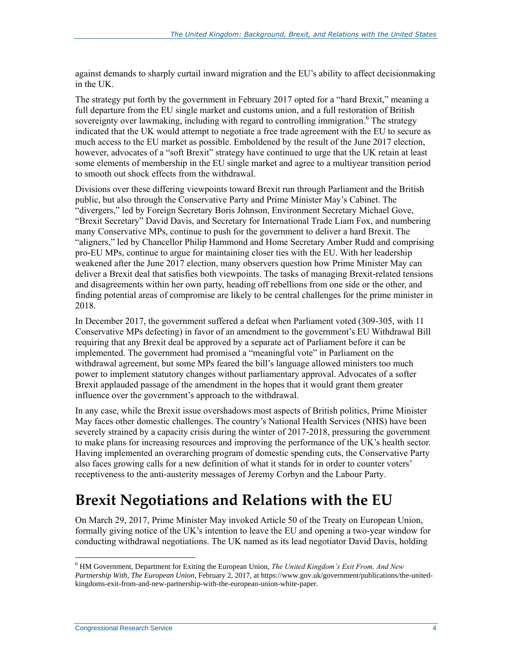against demands to sharply curtail inward migration and the EU's ability to affect decisionmaking in the UK.

The strategy put forth by the government in February 2017 opted for a "hard Brexit," meaning a full departure from the EU single market and customs union, and a full restoration of British sovereignty over lawmaking, including with regard to controlling immigration.<sup>6</sup> The strategy indicated that the UK would attempt to negotiate a free trade agreement with the EU to secure as much access to the EU market as possible. Emboldened by the result of the June 2017 election, however, advocates of a "soft Brexit" strategy have continued to urge that the UK retain at least some elements of membership in the EU single market and agree to a multiyear transition period to smooth out shock effects from the withdrawal.

Divisions over these differing viewpoints toward Brexit run through Parliament and the British public, but also through the Conservative Party and Prime Minister May's Cabinet. The "divergers," led by Foreign Secretary Boris Johnson, Environment Secretary Michael Gove, "Brexit Secretary" David Davis, and Secretary for International Trade Liam Fox, and numbering many Conservative MPs, continue to push for the government to deliver a hard Brexit. The "aligners," led by Chancellor Philip Hammond and Home Secretary Amber Rudd and comprising pro-EU MPs, continue to argue for maintaining closer ties with the EU. With her leadership weakened after the June 2017 election, many observers question how Prime Minister May can deliver a Brexit deal that satisfies both viewpoints. The tasks of managing Brexit-related tensions and disagreements within her own party, heading off rebellions from one side or the other, and finding potential areas of compromise are likely to be central challenges for the prime minister in 2018.

In December 2017, the government suffered a defeat when Parliament voted (309-305, with 11 Conservative MPs defecting) in favor of an amendment to the government's EU Withdrawal Bill requiring that any Brexit deal be approved by a separate act of Parliament before it can be implemented. The government had promised a "meaningful vote" in Parliament on the withdrawal agreement, but some MPs feared the bill's language allowed ministers too much power to implement statutory changes without parliamentary approval. Advocates of a softer Brexit applauded passage of the amendment in the hopes that it would grant them greater influence over the government's approach to the withdrawal.

In any case, while the Brexit issue overshadows most aspects of British politics, Prime Minister May faces other domestic challenges. The country's National Health Services (NHS) have been severely strained by a capacity crisis during the winter of 2017-2018, pressuring the government to make plans for increasing resources and improving the performance of the UK's health sector. Having implemented an overarching program of domestic spending cuts, the Conservative Party also faces growing calls for a new definition of what it stands for in order to counter voters' receptiveness to the anti-austerity messages of Jeremy Corbyn and the Labour Party.

### **Brexit Negotiations and Relations with the EU**

On March 29, 2017, Prime Minister May invoked Article 50 of the Treaty on European Union, formally giving notice of the UK's intention to leave the EU and opening a two-year window for conducting withdrawal negotiations. The UK named as its lead negotiator David Davis, holding

<sup>6</sup> HM Government, Department for Exiting the European Union, *The United Kingdom's Exit From, And New Partnership With, The European Union*, February 2, 2017, at https://www.gov.uk/government/publications/the-unitedkingdoms-exit-from-and-new-partnership-with-the-european-union-white-paper.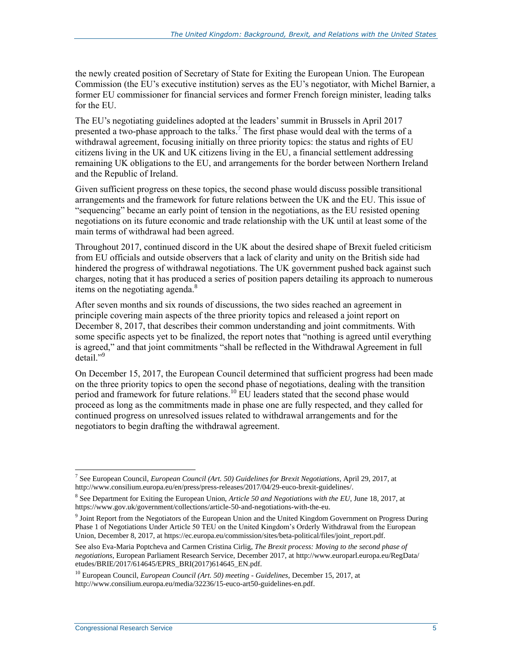the newly created position of Secretary of State for Exiting the European Union. The European Commission (the EU's executive institution) serves as the EU's negotiator, with Michel Barnier, a former EU commissioner for financial services and former French foreign minister, leading talks for the EU.

The EU's negotiating guidelines adopted at the leaders' summit in Brussels in April 2017 presented a two-phase approach to the talks.<sup>7</sup> The first phase would deal with the terms of a withdrawal agreement, focusing initially on three priority topics: the status and rights of EU citizens living in the UK and UK citizens living in the EU, a financial settlement addressing remaining UK obligations to the EU, and arrangements for the border between Northern Ireland and the Republic of Ireland.

Given sufficient progress on these topics, the second phase would discuss possible transitional arrangements and the framework for future relations between the UK and the EU. This issue of "sequencing" became an early point of tension in the negotiations, as the EU resisted opening negotiations on its future economic and trade relationship with the UK until at least some of the main terms of withdrawal had been agreed.

Throughout 2017, continued discord in the UK about the desired shape of Brexit fueled criticism from EU officials and outside observers that a lack of clarity and unity on the British side had hindered the progress of withdrawal negotiations. The UK government pushed back against such charges, noting that it has produced a series of position papers detailing its approach to numerous items on the negotiating agenda.<sup>8</sup>

After seven months and six rounds of discussions, the two sides reached an agreement in principle covering main aspects of the three priority topics and released a joint report on December 8, 2017, that describes their common understanding and joint commitments. With some specific aspects yet to be finalized, the report notes that "nothing is agreed until everything is agreed," and that joint commitments "shall be reflected in the Withdrawal Agreement in full  $\text{detail."}^9$ 

On December 15, 2017, the European Council determined that sufficient progress had been made on the three priority topics to open the second phase of negotiations, dealing with the transition period and framework for future relations.<sup>10</sup> EU leaders stated that the second phase would proceed as long as the commitments made in phase one are fully respected, and they called for continued progress on unresolved issues related to withdrawal arrangements and for the negotiators to begin drafting the withdrawal agreement.

<sup>&</sup>lt;sup>7</sup> See European Council, *European Council (Art. 50) Guidelines for Brexit Negotiations, April 29, 2017, at* http://www.consilium.europa.eu/en/press/press-releases/2017/04/29-euco-brexit-guidelines/.

<sup>8</sup> See Department for Exiting the European Union, *Article 50 and Negotiations with the EU,* June 18, 2017, at https://www.gov.uk/government/collections/article-50-and-negotiations-with-the-eu.

<sup>&</sup>lt;sup>9</sup> Joint Report from the Negotiators of the European Union and the United Kingdom Government on Progress During Phase 1 of Negotiations Under Article 50 TEU on the United Kingdom's Orderly Withdrawal from the European Union, December 8, 2017, at https://ec.europa.eu/commission/sites/beta-political/files/joint\_report.pdf.

See also Eva-Maria Poptcheva and Carmen Cristina Cirlig, *The Brexit process: Moving to the second phase of negotiations*, European Parliament Research Service, December 2017, at http://www.europarl.europa.eu/RegData/ etudes/BRIE/2017/614645/EPRS\_BRI(2017)614645\_EN.pdf.

<sup>10</sup> European Council, *European Council (Art. 50) meeting - Guidelines*, December 15, 2017, at http://www.consilium.europa.eu/media/32236/15-euco-art50-guidelines-en.pdf.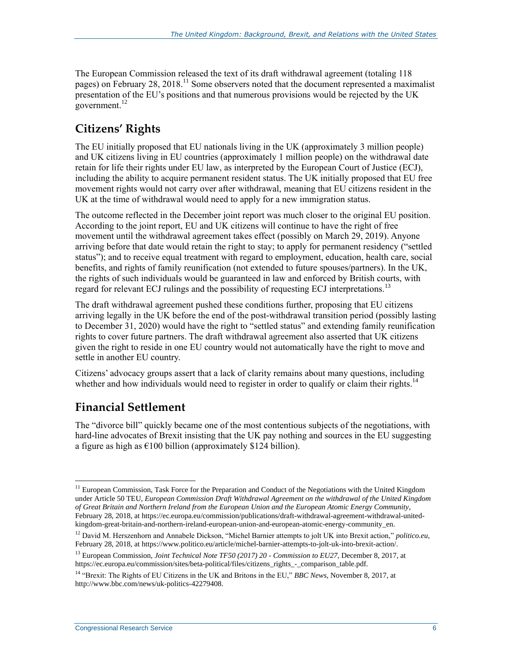The European Commission released the text of its draft withdrawal agreement (totaling 118 pages) on February 28, 2018.<sup>11</sup> Some observers noted that the document represented a maximalist presentation of the EU's positions and that numerous provisions would be rejected by the UK government.<sup>12</sup>

### **Citizens' Rights**

The EU initially proposed that EU nationals living in the UK (approximately 3 million people) and UK citizens living in EU countries (approximately 1 million people) on the withdrawal date retain for life their rights under EU law, as interpreted by the European Court of Justice (ECJ), including the ability to acquire permanent resident status. The UK initially proposed that EU free movement rights would not carry over after withdrawal, meaning that EU citizens resident in the UK at the time of withdrawal would need to apply for a new immigration status.

The outcome reflected in the December joint report was much closer to the original EU position. According to the joint report, EU and UK citizens will continue to have the right of free movement until the withdrawal agreement takes effect (possibly on March 29, 2019). Anyone arriving before that date would retain the right to stay; to apply for permanent residency ("settled status"); and to receive equal treatment with regard to employment, education, health care, social benefits, and rights of family reunification (not extended to future spouses/partners). In the UK, the rights of such individuals would be guaranteed in law and enforced by British courts, with regard for relevant ECJ rulings and the possibility of requesting ECJ interpretations.<sup>13</sup>

The draft withdrawal agreement pushed these conditions further, proposing that EU citizens arriving legally in the UK before the end of the post-withdrawal transition period (possibly lasting to December 31, 2020) would have the right to "settled status" and extending family reunification rights to cover future partners. The draft withdrawal agreement also asserted that UK citizens given the right to reside in one EU country would not automatically have the right to move and settle in another EU country.

Citizens' advocacy groups assert that a lack of clarity remains about many questions, including whether and how individuals would need to register in order to qualify or claim their rights.<sup>14</sup>

#### **Financial Settlement**

The "divorce bill" quickly became one of the most contentious subjects of the negotiations, with hard-line advocates of Brexit insisting that the UK pay nothing and sources in the EU suggesting a figure as high as  $\epsilon$ 100 billion (approximately \$124 billion).

 $\overline{a}$ <sup>11</sup> European Commission, Task Force for the Preparation and Conduct of the Negotiations with the United Kingdom under Article 50 TEU, *European Commission Draft Withdrawal Agreement on the withdrawal of the United Kingdom of Great Britain and Northern Ireland from the European Union and the European Atomic Energy Community*, February 28, 2018, at https://ec.europa.eu/commission/publications/draft-withdrawal-agreement-withdrawal-unitedkingdom-great-britain-and-northern-ireland-european-union-and-european-atomic-energy-community\_en.

<sup>12</sup> David M. Herszenhorn and Annabele Dickson, "Michel Barnier attempts to jolt UK into Brexit action," *politico.eu*, February 28, 2018, at https://www.politico.eu/article/michel-barnier-attempts-to-jolt-uk-into-brexit-action/.

<sup>13</sup> European Commission, *Joint Technical Note TF50 (2017) 20 - Commission to EU27*, December 8, 2017, at https://ec.europa.eu/commission/sites/beta-political/files/citizens\_rights\_-\_comparison\_table.pdf.

<sup>&</sup>lt;sup>14</sup> "Brexit: The Rights of EU Citizens in the UK and Britons in the EU," BBC News, November 8, 2017, at http://www.bbc.com/news/uk-politics-42279408.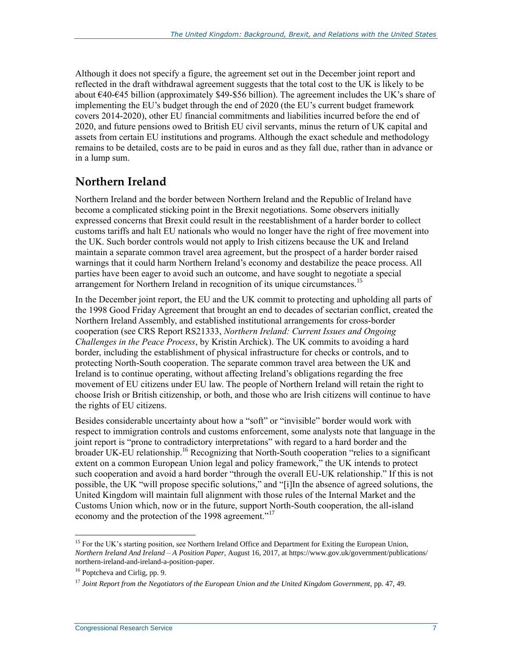Although it does not specify a figure, the agreement set out in the December joint report and reflected in the draft withdrawal agreement suggests that the total cost to the UK is likely to be about €40-€45 billion (approximately \$49-\$56 billion). The agreement includes the UK's share of implementing the EU's budget through the end of 2020 (the EU's current budget framework covers 2014-2020), other EU financial commitments and liabilities incurred before the end of 2020, and future pensions owed to British EU civil servants, minus the return of UK capital and assets from certain EU institutions and programs. Although the exact schedule and methodology remains to be detailed, costs are to be paid in euros and as they fall due, rather than in advance or in a lump sum.

#### **Northern Ireland**

Northern Ireland and the border between Northern Ireland and the Republic of Ireland have become a complicated sticking point in the Brexit negotiations. Some observers initially expressed concerns that Brexit could result in the reestablishment of a harder border to collect customs tariffs and halt EU nationals who would no longer have the right of free movement into the UK. Such border controls would not apply to Irish citizens because the UK and Ireland maintain a separate common travel area agreement, but the prospect of a harder border raised warnings that it could harm Northern Ireland's economy and destabilize the peace process. All parties have been eager to avoid such an outcome, and have sought to negotiate a special arrangement for Northern Ireland in recognition of its unique circumstances.<sup>15</sup>

In the December joint report, the EU and the UK commit to protecting and upholding all parts of the 1998 Good Friday Agreement that brought an end to decades of sectarian conflict, created the Northern Ireland Assembly, and established institutional arrangements for cross-border cooperation (see CRS Report RS21333, *[Northern Ireland: Current Issues and Ongoing](http://www.crs.gov/Reports/RS21333)  [Challenges in the Peace Process](http://www.crs.gov/Reports/RS21333)*, by Kristin Archick). The UK commits to avoiding a hard border, including the establishment of physical infrastructure for checks or controls, and to protecting North-South cooperation. The separate common travel area between the UK and Ireland is to continue operating, without affecting Ireland's obligations regarding the free movement of EU citizens under EU law. The people of Northern Ireland will retain the right to choose Irish or British citizenship, or both, and those who are Irish citizens will continue to have the rights of EU citizens.

Besides considerable uncertainty about how a "soft" or "invisible" border would work with respect to immigration controls and customs enforcement, some analysts note that language in the joint report is "prone to contradictory interpretations" with regard to a hard border and the broader UK-EU relationship.<sup>16</sup> Recognizing that North-South cooperation "relies to a significant extent on a common European Union legal and policy framework," the UK intends to protect such cooperation and avoid a hard border "through the overall EU-UK relationship." If this is not possible, the UK "will propose specific solutions," and "[i]In the absence of agreed solutions, the United Kingdom will maintain full alignment with those rules of the Internal Market and the Customs Union which, now or in the future, support North-South cooperation, the all-island economy and the protection of the 1998 agreement."<sup>17</sup>

 $\overline{a}$ <sup>15</sup> For the UK's starting position, see Northern Ireland Office and Department for Exiting the European Union, *Northern Ireland And Ireland – A Position Paper*, August 16, 2017, at https://www.gov.uk/government/publications/ northern-ireland-and-ireland-a-position-paper.

<sup>&</sup>lt;sup>16</sup> Poptcheva and Cirlig, pp. 9.

<sup>&</sup>lt;sup>17</sup> *Joint Report from the Negotiators of the European Union and the United Kingdom Government, pp. 47, 49.*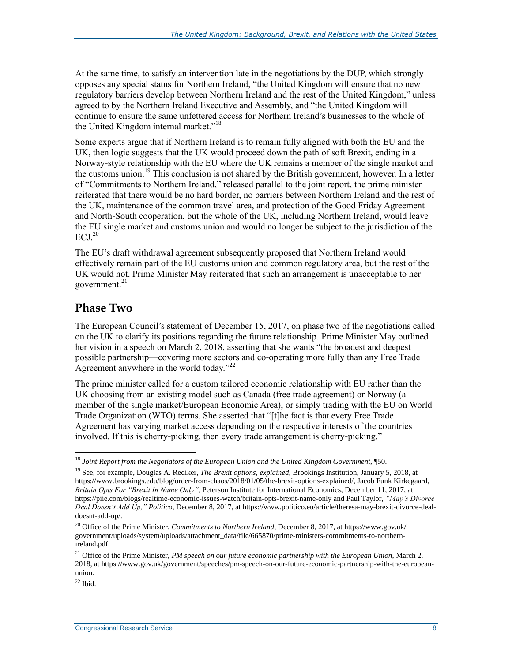At the same time, to satisfy an intervention late in the negotiations by the DUP, which strongly opposes any special status for Northern Ireland, "the United Kingdom will ensure that no new regulatory barriers develop between Northern Ireland and the rest of the United Kingdom," unless agreed to by the Northern Ireland Executive and Assembly, and "the United Kingdom will continue to ensure the same unfettered access for Northern Ireland's businesses to the whole of the United Kingdom internal market."<sup>18</sup>

Some experts argue that if Northern Ireland is to remain fully aligned with both the EU and the UK, then logic suggests that the UK would proceed down the path of soft Brexit, ending in a Norway-style relationship with the EU where the UK remains a member of the single market and the customs union.<sup>19</sup> This conclusion is not shared by the British government, however. In a letter of "Commitments to Northern Ireland," released parallel to the joint report, the prime minister reiterated that there would be no hard border, no barriers between Northern Ireland and the rest of the UK, maintenance of the common travel area, and protection of the Good Friday Agreement and North-South cooperation, but the whole of the UK, including Northern Ireland, would leave the EU single market and customs union and would no longer be subject to the jurisdiction of the  $ECJ.<sup>20</sup>$ 

The EU's draft withdrawal agreement subsequently proposed that Northern Ireland would effectively remain part of the EU customs union and common regulatory area, but the rest of the UK would not. Prime Minister May reiterated that such an arrangement is unacceptable to her government. $^{21}$ 

#### **Phase Two**

The European Council's statement of December 15, 2017, on phase two of the negotiations called on the UK to clarify its positions regarding the future relationship. Prime Minister May outlined her vision in a speech on March 2, 2018, asserting that she wants "the broadest and deepest possible partnership—covering more sectors and co-operating more fully than any Free Trade Agreement anywhere in the world today."<sup>22</sup>

The prime minister called for a custom tailored economic relationship with EU rather than the UK choosing from an existing model such as Canada (free trade agreement) or Norway (a member of the single market/European Economic Area), or simply trading with the EU on World Trade Organization (WTO) terms. She asserted that "[t]he fact is that every Free Trade Agreement has varying market access depending on the respective interests of the countries involved. If this is cherry-picking, then every trade arrangement is cherry-picking."

<sup>&</sup>lt;sup>18</sup> *Joint Report from the Negotiators of the European Union and the United Kingdom Government*, ¶50.

<sup>19</sup> See, for example, Douglas A. Rediker, *The Brexit options, explained*, Brookings Institution, January 5, 2018, at https://www.brookings.edu/blog/order-from-chaos/2018/01/05/the-brexit-options-explained/, Jacob Funk Kirkegaard, *Britain Opts For "Brexit In Name Only",* Peterson Institute for International Economics, December 11, 2017, at https://piie.com/blogs/realtime-economic-issues-watch/britain-opts-brexit-name-only and Paul Taylor, *"May's Divorce Deal Doesn't Add Up," Politico*, December 8, 2017, at https://www.politico.eu/article/theresa-may-brexit-divorce-dealdoesnt-add-up/.

<sup>&</sup>lt;sup>20</sup> Office of the Prime Minister, *Commitments to Northern Ireland*, December 8, 2017, at https://www.gov.uk/ government/uploads/system/uploads/attachment\_data/file/665870/prime-ministers-commitments-to-northernireland.pdf.

<sup>&</sup>lt;sup>21</sup> Office of the Prime Minister, *PM speech on our future economic partnership with the European Union*, March 2, 2018, at https://www.gov.uk/government/speeches/pm-speech-on-our-future-economic-partnership-with-the-europeanunion.

 $22$  Ibid.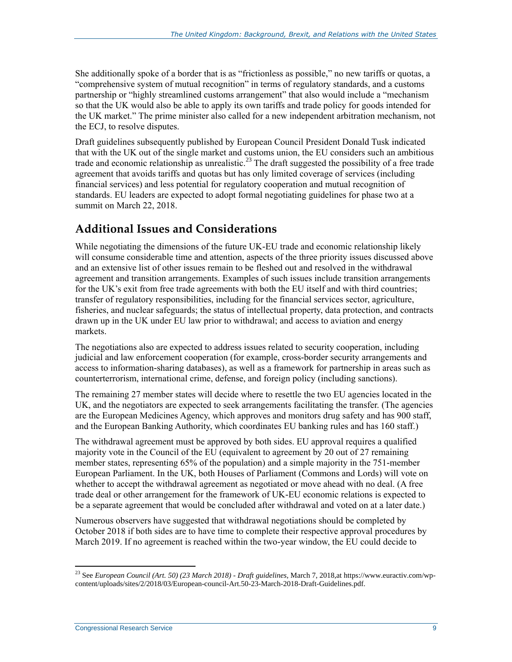She additionally spoke of a border that is as "frictionless as possible," no new tariffs or quotas, a "comprehensive system of mutual recognition" in terms of regulatory standards, and a customs partnership or "highly streamlined customs arrangement" that also would include a "mechanism so that the UK would also be able to apply its own tariffs and trade policy for goods intended for the UK market." The prime minister also called for a new independent arbitration mechanism, not the ECJ, to resolve disputes.

Draft guidelines subsequently published by European Council President Donald Tusk indicated that with the UK out of the single market and customs union, the EU considers such an ambitious trade and economic relationship as unrealistic.<sup>23</sup> The draft suggested the possibility of a free trade agreement that avoids tariffs and quotas but has only limited coverage of services (including financial services) and less potential for regulatory cooperation and mutual recognition of standards. EU leaders are expected to adopt formal negotiating guidelines for phase two at a summit on March 22, 2018.

#### **Additional Issues and Considerations**

While negotiating the dimensions of the future UK-EU trade and economic relationship likely will consume considerable time and attention, aspects of the three priority issues discussed above and an extensive list of other issues remain to be fleshed out and resolved in the withdrawal agreement and transition arrangements. Examples of such issues include transition arrangements for the UK's exit from free trade agreements with both the EU itself and with third countries; transfer of regulatory responsibilities, including for the financial services sector, agriculture, fisheries, and nuclear safeguards; the status of intellectual property, data protection, and contracts drawn up in the UK under EU law prior to withdrawal; and access to aviation and energy markets.

The negotiations also are expected to address issues related to security cooperation, including judicial and law enforcement cooperation (for example, cross-border security arrangements and access to information-sharing databases), as well as a framework for partnership in areas such as counterterrorism, international crime, defense, and foreign policy (including sanctions).

The remaining 27 member states will decide where to resettle the two EU agencies located in the UK, and the negotiators are expected to seek arrangements facilitating the transfer. (The agencies are the European Medicines Agency, which approves and monitors drug safety and has 900 staff, and the European Banking Authority, which coordinates EU banking rules and has 160 staff.)

The withdrawal agreement must be approved by both sides. EU approval requires a qualified majority vote in the Council of the EU (equivalent to agreement by 20 out of 27 remaining member states, representing 65% of the population) and a simple majority in the 751-member European Parliament. In the UK, both Houses of Parliament (Commons and Lords) will vote on whether to accept the withdrawal agreement as negotiated or move ahead with no deal. (A free trade deal or other arrangement for the framework of UK-EU economic relations is expected to be a separate agreement that would be concluded after withdrawal and voted on at a later date.)

Numerous observers have suggested that withdrawal negotiations should be completed by October 2018 if both sides are to have time to complete their respective approval procedures by March 2019. If no agreement is reached within the two-year window, the EU could decide to

<sup>23</sup> See *European Council (Art. 50) (23 March 2018) - Draft guidelines*, March 7, 2018,at https://www.euractiv.com/wpcontent/uploads/sites/2/2018/03/European-council-Art.50-23-March-2018-Draft-Guidelines.pdf.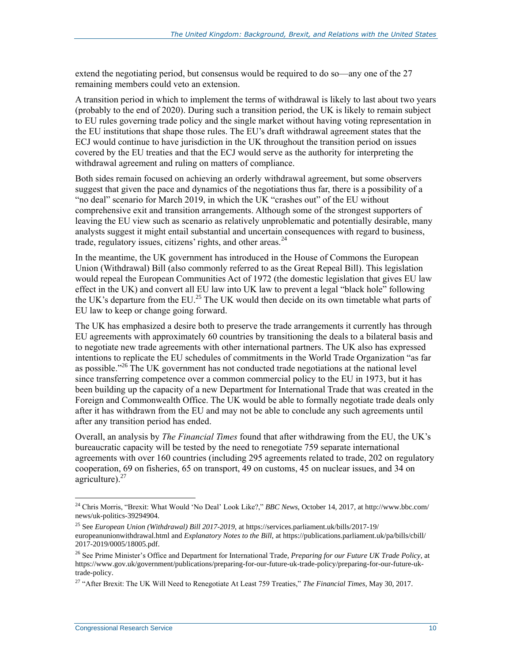extend the negotiating period, but consensus would be required to do so—any one of the 27 remaining members could veto an extension.

A transition period in which to implement the terms of withdrawal is likely to last about two years (probably to the end of 2020). During such a transition period, the UK is likely to remain subject to EU rules governing trade policy and the single market without having voting representation in the EU institutions that shape those rules. The EU's draft withdrawal agreement states that the ECJ would continue to have jurisdiction in the UK throughout the transition period on issues covered by the EU treaties and that the ECJ would serve as the authority for interpreting the withdrawal agreement and ruling on matters of compliance.

Both sides remain focused on achieving an orderly withdrawal agreement, but some observers suggest that given the pace and dynamics of the negotiations thus far, there is a possibility of a "no deal" scenario for March 2019, in which the UK "crashes out" of the EU without comprehensive exit and transition arrangements. Although some of the strongest supporters of leaving the EU view such as scenario as relatively unproblematic and potentially desirable, many analysts suggest it might entail substantial and uncertain consequences with regard to business, trade, regulatory issues, citizens' rights, and other areas. $^{24}$ 

In the meantime, the UK government has introduced in the House of Commons the European Union (Withdrawal) Bill (also commonly referred to as the Great Repeal Bill). This legislation would repeal the European Communities Act of 1972 (the domestic legislation that gives EU law effect in the UK) and convert all EU law into UK law to prevent a legal "black hole" following the UK's departure from the EU.<sup>25</sup> The UK would then decide on its own timetable what parts of EU law to keep or change going forward.

The UK has emphasized a desire both to preserve the trade arrangements it currently has through EU agreements with approximately 60 countries by transitioning the deals to a bilateral basis and to negotiate new trade agreements with other international partners. The UK also has expressed intentions to replicate the EU schedules of commitments in the World Trade Organization "as far as possible."<sup>26</sup> The UK government has not conducted trade negotiations at the national level since transferring competence over a common commercial policy to the EU in 1973, but it has been building up the capacity of a new Department for International Trade that was created in the Foreign and Commonwealth Office. The UK would be able to formally negotiate trade deals only after it has withdrawn from the EU and may not be able to conclude any such agreements until after any transition period has ended.

Overall, an analysis by *The Financial Times* found that after withdrawing from the EU, the UK's bureaucratic capacity will be tested by the need to renegotiate 759 separate international agreements with over 160 countries (including 295 agreements related to trade, 202 on regulatory cooperation, 69 on fisheries, 65 on transport, 49 on customs, 45 on nuclear issues, and 34 on agriculture). $27$ 

<sup>24</sup> Chris Morris, "Brexit: What Would 'No Deal' Look Like?," *BBC News*, October 14, 2017, at http://www.bbc.com/ news/uk-politics-39294904.

<sup>25</sup> See *European Union (Withdrawal) Bill 2017-2019*, at https://services.parliament.uk/bills/2017-19/ europeanunionwithdrawal.html and *Explanatory Notes to the Bill*, at https://publications.parliament.uk/pa/bills/cbill/ 2017-2019/0005/18005.pdf.

<sup>26</sup> See Prime Minister's Office and Department for International Trade, *Preparing for our Future UK Trade Policy*, at https://www.gov.uk/government/publications/preparing-for-our-future-uk-trade-policy/preparing-for-our-future-uktrade-policy.

<sup>27</sup> "After Brexit: The UK Will Need to Renegotiate At Least 759 Treaties," *The Financial Times*, May 30, 2017.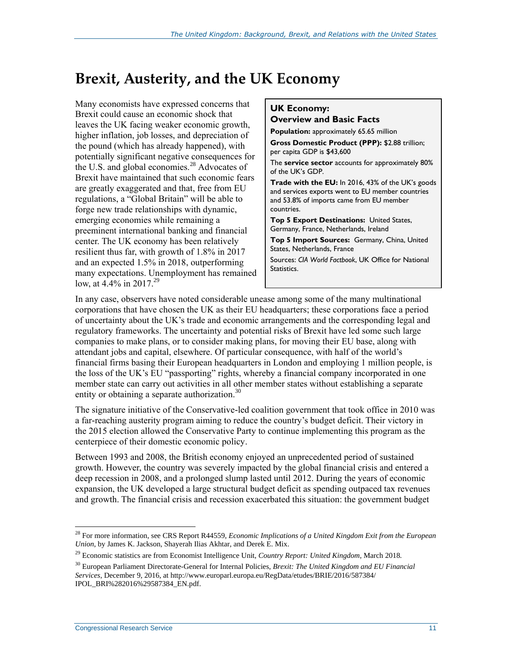### **Brexit, Austerity, and the UK Economy**

Many economists have expressed concerns that Brexit could cause an economic shock that leaves the UK facing weaker economic growth, higher inflation, job losses, and depreciation of the pound (which has already happened), with potentially significant negative consequences for the U.S. and global economies.<sup>28</sup> Advocates of Brexit have maintained that such economic fears are greatly exaggerated and that, free from EU regulations, a "Global Britain" will be able to forge new trade relationships with dynamic, emerging economies while remaining a preeminent international banking and financial center. The UK economy has been relatively resilient thus far, with growth of 1.8% in 2017 and an expected 1.5% in 2018, outperforming many expectations. Unemployment has remained low, at 4.4% in 2017.<sup>29</sup>

#### **UK Economy: Overview and Basic Facts**

**Population:** approximately 65.65 million

**Gross Domestic Product (PPP):** \$2.88 trillion; per capita GDP is \$43,600

The **service sector** accounts for approximately 80% of the UK's GDP.

**Trade with the EU:** In 2016, 43% of the UK's goods and services exports went to EU member countries and 53.8% of imports came from EU member countries.

**Top 5 Export Destinations:** United States, Germany, France, Netherlands, Ireland

**Top 5 Import Sources:** Germany, China, United States, Netherlands, France

Sources: *CIA World Factbook*, UK Office for National Statistics.

In any case, observers have noted considerable unease among some of the many multinational corporations that have chosen the UK as their EU headquarters; these corporations face a period of uncertainty about the UK's trade and economic arrangements and the corresponding legal and regulatory frameworks. The uncertainty and potential risks of Brexit have led some such large companies to make plans, or to consider making plans, for moving their EU base, along with attendant jobs and capital, elsewhere. Of particular consequence, with half of the world's financial firms basing their European headquarters in London and employing 1 million people, is the loss of the UK's EU "passporting" rights, whereby a financial company incorporated in one member state can carry out activities in all other member states without establishing a separate entity or obtaining a separate authorization.<sup>30</sup>

The signature initiative of the Conservative-led coalition government that took office in 2010 was a far-reaching austerity program aiming to reduce the country's budget deficit. Their victory in the 2015 election allowed the Conservative Party to continue implementing this program as the centerpiece of their domestic economic policy.

Between 1993 and 2008, the British economy enjoyed an unprecedented period of sustained growth. However, the country was severely impacted by the global financial crisis and entered a deep recession in 2008, and a prolonged slump lasted until 2012. During the years of economic expansion, the UK developed a large structural budget deficit as spending outpaced tax revenues and growth. The financial crisis and recession exacerbated this situation: the government budget

 $\overline{a}$ <sup>28</sup> For more information, see CRS Report R44559, *Economic Implications of a United Kingdom Exit from the European Union*, by James K. Jackson, Shayerah Ilias Akhtar, and Derek E. Mix.

<sup>29</sup> Economic statistics are from Economist Intelligence Unit, *Country Report: United Kingdom*, March 2018*.*

<sup>30</sup> European Parliament Directorate-General for Internal Policies, *Brexit: The United Kingdom and EU Financial Services*, December 9, 2016, at http://www.europarl.europa.eu/RegData/etudes/BRIE/2016/587384/ IPOL\_BRI%282016%29587384\_EN.pdf.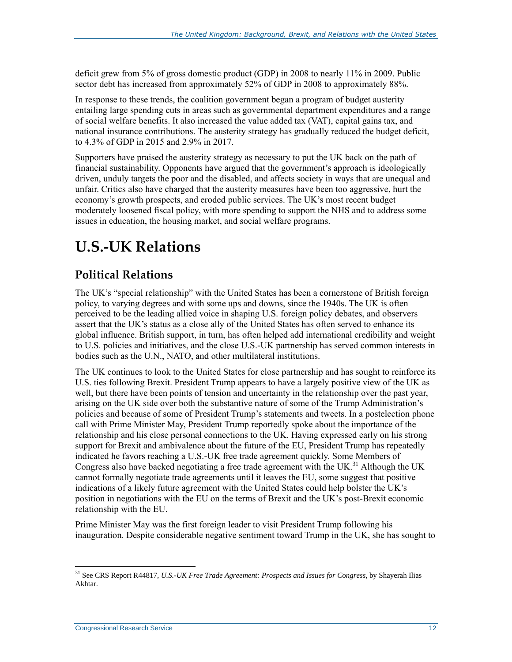deficit grew from 5% of gross domestic product (GDP) in 2008 to nearly 11% in 2009. Public sector debt has increased from approximately 52% of GDP in 2008 to approximately 88%.

In response to these trends, the coalition government began a program of budget austerity entailing large spending cuts in areas such as governmental department expenditures and a range of social welfare benefits. It also increased the value added tax (VAT), capital gains tax, and national insurance contributions. The austerity strategy has gradually reduced the budget deficit, to 4.3% of GDP in 2015 and 2.9% in 2017.

Supporters have praised the austerity strategy as necessary to put the UK back on the path of financial sustainability. Opponents have argued that the government's approach is ideologically driven, unduly targets the poor and the disabled, and affects society in ways that are unequal and unfair. Critics also have charged that the austerity measures have been too aggressive, hurt the economy's growth prospects, and eroded public services. The UK's most recent budget moderately loosened fiscal policy, with more spending to support the NHS and to address some issues in education, the housing market, and social welfare programs.

## **U.S.-UK Relations**

### **Political Relations**

The UK's "special relationship" with the United States has been a cornerstone of British foreign policy, to varying degrees and with some ups and downs, since the 1940s. The UK is often perceived to be the leading allied voice in shaping U.S. foreign policy debates, and observers assert that the UK's status as a close ally of the United States has often served to enhance its global influence. British support, in turn, has often helped add international credibility and weight to U.S. policies and initiatives, and the close U.S.-UK partnership has served common interests in bodies such as the U.N., NATO, and other multilateral institutions.

The UK continues to look to the United States for close partnership and has sought to reinforce its U.S. ties following Brexit. President Trump appears to have a largely positive view of the UK as well, but there have been points of tension and uncertainty in the relationship over the past year, arising on the UK side over both the substantive nature of some of the Trump Administration's policies and because of some of President Trump's statements and tweets. In a postelection phone call with Prime Minister May, President Trump reportedly spoke about the importance of the relationship and his close personal connections to the UK. Having expressed early on his strong support for Brexit and ambivalence about the future of the EU, President Trump has repeatedly indicated he favors reaching a U.S.-UK free trade agreement quickly. Some Members of Congress also have backed negotiating a free trade agreement with the UK.<sup>31</sup> Although the UK cannot formally negotiate trade agreements until it leaves the EU, some suggest that positive indications of a likely future agreement with the United States could help bolster the UK's position in negotiations with the EU on the terms of Brexit and the UK's post-Brexit economic relationship with the EU.

Prime Minister May was the first foreign leader to visit President Trump following his inauguration. Despite considerable negative sentiment toward Trump in the UK, she has sought to

<sup>31</sup> See CRS Report R44817, *U.S.-UK Free Trade Agreement: Prospects and Issues for Congress*, by Shayerah Ilias Akhtar.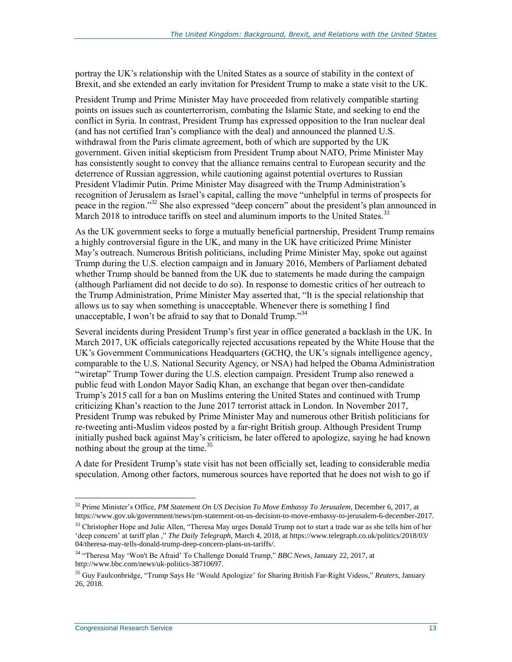portray the UK's relationship with the United States as a source of stability in the context of Brexit, and she extended an early invitation for President Trump to make a state visit to the UK.

President Trump and Prime Minister May have proceeded from relatively compatible starting points on issues such as counterterrorism, combating the Islamic State, and seeking to end the conflict in Syria. In contrast, President Trump has expressed opposition to the Iran nuclear deal (and has not certified Iran's compliance with the deal) and announced the planned U.S. withdrawal from the Paris climate agreement, both of which are supported by the UK government. Given initial skepticism from President Trump about NATO, Prime Minister May has consistently sought to convey that the alliance remains central to European security and the deterrence of Russian aggression, while cautioning against potential overtures to Russian President Vladimir Putin. Prime Minister May disagreed with the Trump Administration's recognition of Jerusalem as Israel's capital, calling the move "unhelpful in terms of prospects for peace in the region."<sup>32</sup> She also expressed "deep concern" about the president's plan announced in March 2018 to introduce tariffs on steel and aluminum imports to the United States.<sup>33</sup>

As the UK government seeks to forge a mutually beneficial partnership, President Trump remains a highly controversial figure in the UK, and many in the UK have criticized Prime Minister May's outreach. Numerous British politicians, including Prime Minister May, spoke out against Trump during the U.S. election campaign and in January 2016, Members of Parliament debated whether Trump should be banned from the UK due to statements he made during the campaign (although Parliament did not decide to do so). In response to domestic critics of her outreach to the Trump Administration, Prime Minister May asserted that, "It is the special relationship that allows us to say when something is unacceptable. Whenever there is something I find unacceptable, I won't be afraid to say that to Donald Trump."<sup>34</sup>

Several incidents during President Trump's first year in office generated a backlash in the UK. In March 2017, UK officials categorically rejected accusations repeated by the White House that the UK's Government Communications Headquarters (GCHQ, the UK's signals intelligence agency, comparable to the U.S. National Security Agency, or NSA) had helped the Obama Administration "wiretap" Trump Tower during the U.S. election campaign. President Trump also renewed a public feud with London Mayor Sadiq Khan, an exchange that began over then-candidate Trump's 2015 call for a ban on Muslims entering the United States and continued with Trump criticizing Khan's reaction to the June 2017 terrorist attack in London. In November 2017, President Trump was rebuked by Prime Minister May and numerous other British politicians for re-tweeting anti-Muslim videos posted by a far-right British group. Although President Trump initially pushed back against May's criticism, he later offered to apologize, saying he had known nothing about the group at the time.<sup>35</sup>

A date for President Trump's state visit has not been officially set, leading to considerable media speculation. Among other factors, numerous sources have reported that he does not wish to go if

<sup>32</sup> Prime Minister's Office, *PM Statement On US Decision To Move Embassy To Jerusalem*, December 6, 2017, at https://www.gov.uk/government/news/pm-statement-on-us-decision-to-move-embassy-to-jerusalem-6-december-2017.

<sup>&</sup>lt;sup>33</sup> Christopher Hope and Julie Allen, "Theresa May urges Donald Trump not to start a trade war as she tells him of her 'deep concern' at tariff plan ," *The Daily Telegraph*, March 4, 2018, at https://www.telegraph.co.uk/politics/2018/03/ 04/theresa-may-tells-donald-trump-deep-concern-plans-us-tariffs/.

<sup>34</sup> "Theresa May 'Won't Be Afraid' To Challenge Donald Trump," *BBC News*, January 22, 2017, at http://www.bbc.com/news/uk-politics-38710697.

<sup>35</sup> Guy Faulconbridge, "Trump Says He 'Would Apologize' for Sharing British Far-Right Videos," *Reuters*, January 26, 2018.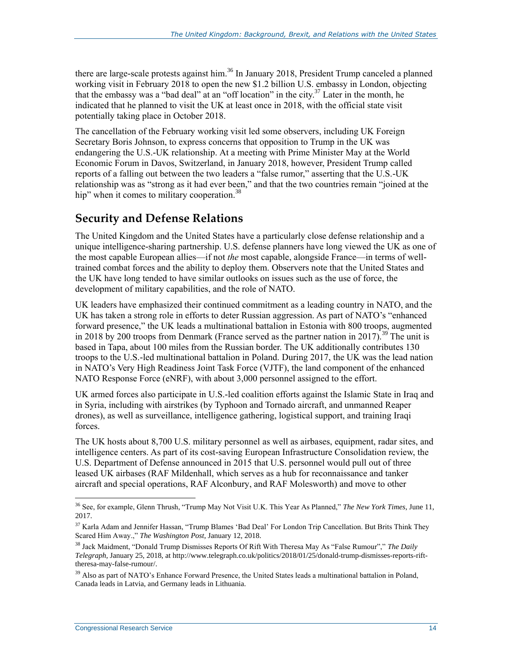there are large-scale protests against him.<sup>36</sup> In January 2018, President Trump canceled a planned working visit in February 2018 to open the new \$1.2 billion U.S. embassy in London, objecting that the embassy was a "bad deal" at an "off location" in the city.<sup>37</sup> Later in the month, he indicated that he planned to visit the UK at least once in 2018, with the official state visit potentially taking place in October 2018.

The cancellation of the February working visit led some observers, including UK Foreign Secretary Boris Johnson, to express concerns that opposition to Trump in the UK was endangering the U.S.-UK relationship. At a meeting with Prime Minister May at the World Economic Forum in Davos, Switzerland, in January 2018, however, President Trump called reports of a falling out between the two leaders a "false rumor," asserting that the U.S.-UK relationship was as "strong as it had ever been," and that the two countries remain "joined at the hip" when it comes to military cooperation.<sup>38</sup>

#### **Security and Defense Relations**

The United Kingdom and the United States have a particularly close defense relationship and a unique intelligence-sharing partnership. U.S. defense planners have long viewed the UK as one of the most capable European allies—if not *the* most capable, alongside France—in terms of welltrained combat forces and the ability to deploy them. Observers note that the United States and the UK have long tended to have similar outlooks on issues such as the use of force, the development of military capabilities, and the role of NATO.

UK leaders have emphasized their continued commitment as a leading country in NATO, and the UK has taken a strong role in efforts to deter Russian aggression. As part of NATO's "enhanced forward presence," the UK leads a multinational battalion in Estonia with 800 troops, augmented in 2018 by 200 troops from Denmark (France served as the partner nation in 2017).<sup>39</sup> The unit is based in Tapa, about 100 miles from the Russian border. The UK additionally contributes 130 troops to the U.S.-led multinational battalion in Poland. During 2017, the UK was the lead nation in NATO's Very High Readiness Joint Task Force (VJTF), the land component of the enhanced NATO Response Force (eNRF), with about 3,000 personnel assigned to the effort.

UK armed forces also participate in U.S.-led coalition efforts against the Islamic State in Iraq and in Syria, including with airstrikes (by Typhoon and Tornado aircraft, and unmanned Reaper drones), as well as surveillance, intelligence gathering, logistical support, and training Iraqi forces.

The UK hosts about 8,700 U.S. military personnel as well as airbases, equipment, radar sites, and intelligence centers. As part of its cost-saving European Infrastructure Consolidation review, the U.S. Department of Defense announced in 2015 that U.S. personnel would pull out of three leased UK airbases (RAF Mildenhall, which serves as a hub for reconnaissance and tanker aircraft and special operations, RAF Alconbury, and RAF Molesworth) and move to other

<sup>36</sup> See, for example, Glenn Thrush, "Trump May Not Visit U.K. This Year As Planned," *The New York Times*, June 11, 2017.

<sup>&</sup>lt;sup>37</sup> Karla Adam and Jennifer Hassan, "Trump Blames 'Bad Deal' For London Trip Cancellation. But Brits Think They Scared Him Away.," *The Washington Post*, January 12, 2018.

<sup>38</sup> Jack Maidment, "Donald Trump Dismisses Reports Of Rift With Theresa May As "False Rumour"," *The Daily Telegraph*, January 25, 2018, at http://www.telegraph.co.uk/politics/2018/01/25/donald-trump-dismisses-reports-rifttheresa-may-false-rumour/.

<sup>&</sup>lt;sup>39</sup> Also as part of NATO's Enhance Forward Presence, the United States leads a multinational battalion in Poland, Canada leads in Latvia, and Germany leads in Lithuania.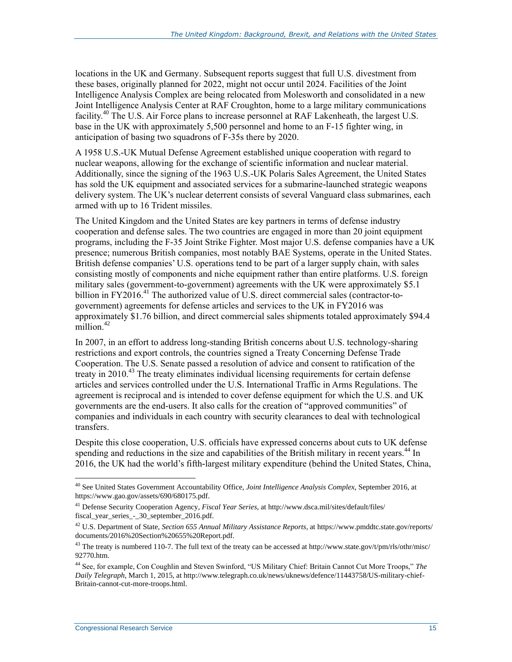locations in the UK and Germany. Subsequent reports suggest that full U.S. divestment from these bases, originally planned for 2022, might not occur until 2024. Facilities of the Joint Intelligence Analysis Complex are being relocated from Molesworth and consolidated in a new Joint Intelligence Analysis Center at RAF Croughton, home to a large military communications facility.<sup>40</sup> The U.S. Air Force plans to increase personnel at RAF Lakenheath, the largest U.S. base in the UK with approximately 5,500 personnel and home to an F-15 fighter wing, in anticipation of basing two squadrons of F-35s there by 2020.

A 1958 U.S.-UK Mutual Defense Agreement established unique cooperation with regard to nuclear weapons, allowing for the exchange of scientific information and nuclear material. Additionally, since the signing of the 1963 U.S.-UK Polaris Sales Agreement, the United States has sold the UK equipment and associated services for a submarine-launched strategic weapons delivery system. The UK's nuclear deterrent consists of several Vanguard class submarines, each armed with up to 16 Trident missiles.

The United Kingdom and the United States are key partners in terms of defense industry cooperation and defense sales. The two countries are engaged in more than 20 joint equipment programs, including the F-35 Joint Strike Fighter. Most major U.S. defense companies have a UK presence; numerous British companies, most notably BAE Systems, operate in the United States. British defense companies' U.S. operations tend to be part of a larger supply chain, with sales consisting mostly of components and niche equipment rather than entire platforms. U.S. foreign military sales (government-to-government) agreements with the UK were approximately \$5.1 billion in FY2016.<sup>41</sup> The authorized value of U.S. direct commercial sales (contractor-togovernment) agreements for defense articles and services to the UK in FY2016 was approximately \$1.76 billion, and direct commercial sales shipments totaled approximately \$94.4 million.<sup>42</sup>

In 2007, in an effort to address long-standing British concerns about U.S. technology-sharing restrictions and export controls, the countries signed a Treaty Concerning Defense Trade Cooperation. The U.S. Senate passed a resolution of advice and consent to ratification of the treaty in 2010.<sup>43</sup> The treaty eliminates individual licensing requirements for certain defense articles and services controlled under the U.S. International Traffic in Arms Regulations. The agreement is reciprocal and is intended to cover defense equipment for which the U.S. and UK governments are the end-users. It also calls for the creation of "approved communities" of companies and individuals in each country with security clearances to deal with technological transfers.

Despite this close cooperation, U.S. officials have expressed concerns about cuts to UK defense spending and reductions in the size and capabilities of the British military in recent years.<sup>44</sup> In 2016, the UK had the world's fifth-largest military expenditure (behind the United States, China,

<sup>40</sup> See United States Government Accountability Office, *Joint Intelligence Analysis Complex*, September 2016, at https://www.gao.gov/assets/690/680175.pdf.

<sup>41</sup> Defense Security Cooperation Agency, *Fiscal Year Series*, at http://www.dsca.mil/sites/default/files/ fiscal\_year\_series\_-\_30\_september\_2016.pdf.

<sup>42</sup> U.S. Department of State, *Section 655 Annual Military Assistance Reports,* at https://www.pmddtc.state.gov/reports/ documents/2016%20Section%20655%20Report.pdf.

<sup>&</sup>lt;sup>43</sup> The treaty is numbered 110-7. The full text of the treaty can be accessed at http://www.state.gov/t/pm/rls/othr/misc/ 92770.htm.

<sup>44</sup> See, for example, Con Coughlin and Steven Swinford, "US Military Chief: Britain Cannot Cut More Troops," *The Daily Telegraph*, March 1, 2015, at http://www.telegraph.co.uk/news/uknews/defence/11443758/US-military-chief-Britain-cannot-cut-more-troops.html.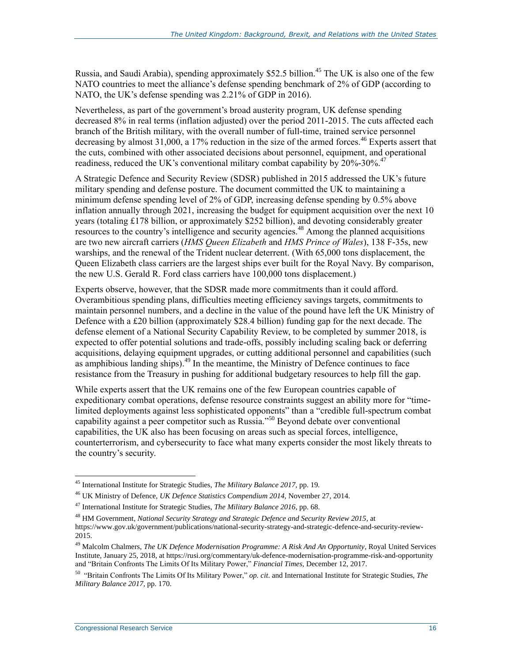Russia, and Saudi Arabia), spending approximately \$52.5 billion.<sup>45</sup> The UK is also one of the few NATO countries to meet the alliance's defense spending benchmark of 2% of GDP (according to NATO, the UK's defense spending was 2.21% of GDP in 2016).

Nevertheless, as part of the government's broad austerity program, UK defense spending decreased 8% in real terms (inflation adjusted) over the period 2011-2015. The cuts affected each branch of the British military, with the overall number of full-time, trained service personnel decreasing by almost 31,000, a 17% reduction in the size of the armed forces.<sup>46</sup> Experts assert that the cuts, combined with other associated decisions about personnel, equipment, and operational readiness, reduced the UK's conventional military combat capability by  $20\%$ -30%.<sup>47</sup>

A Strategic Defence and Security Review (SDSR) published in 2015 addressed the UK's future military spending and defense posture. The document committed the UK to maintaining a minimum defense spending level of 2% of GDP, increasing defense spending by 0.5% above inflation annually through 2021, increasing the budget for equipment acquisition over the next 10 years (totaling £178 billion, or approximately \$252 billion), and devoting considerably greater resources to the country's intelligence and security agencies.<sup>48</sup> Among the planned acquisitions are two new aircraft carriers (*HMS Queen Elizabeth* and *HMS Prince of Wales*), 138 F-35s, new warships, and the renewal of the Trident nuclear deterrent. (With 65,000 tons displacement, the Queen Elizabeth class carriers are the largest ships ever built for the Royal Navy. By comparison, the new U.S. Gerald R. Ford class carriers have 100,000 tons displacement.)

Experts observe, however, that the SDSR made more commitments than it could afford. Overambitious spending plans, difficulties meeting efficiency savings targets, commitments to maintain personnel numbers, and a decline in the value of the pound have left the UK Ministry of Defence with a £20 billion (approximately \$28.4 billion) funding gap for the next decade. The defense element of a National Security Capability Review, to be completed by summer 2018, is expected to offer potential solutions and trade-offs, possibly including scaling back or deferring acquisitions, delaying equipment upgrades, or cutting additional personnel and capabilities (such as amphibious landing ships).<sup>49</sup> In the meantime, the Ministry of Defence continues to face resistance from the Treasury in pushing for additional budgetary resources to help fill the gap.

While experts assert that the UK remains one of the few European countries capable of expeditionary combat operations, defense resource constraints suggest an ability more for "timelimited deployments against less sophisticated opponents" than a "credible full-spectrum combat capability against a peer competitor such as Russia."<sup>50</sup> Beyond debate over conventional capabilities, the UK also has been focusing on areas such as special forces, intelligence, counterterrorism, and cybersecurity to face what many experts consider the most likely threats to the country's security.

<sup>45</sup> International Institute for Strategic Studies, *The Military Balance 2017,* pp. 19*.*

<sup>46</sup> UK Ministry of Defence, *UK Defence Statistics Compendium 2014,* November 27, 2014.

<sup>47</sup> International Institute for Strategic Studies, *The Military Balance 2016*, pp. 68.

<sup>&</sup>lt;sup>48</sup> HM Government, *National Security Strategy and Strategic Defence and Security Review 2015*, at

https://www.gov.uk/government/publications/national-security-strategy-and-strategic-defence-and-security-review-2015.

<sup>49</sup> Malcolm Chalmers, *The UK Defence Modernisation Programme: A Risk And An Opportunity*, Royal United Services Institute, January 25, 2018, at https://rusi.org/commentary/uk-defence-modernisation-programme-risk-and-opportunity and "Britain Confronts The Limits Of Its Military Power," *Financial Times*, December 12, 2017.

<sup>50</sup> "Britain Confronts The Limits Of Its Military Power," *op. cit*. and International Institute for Strategic Studies, *The Military Balance 2017,* pp. 170.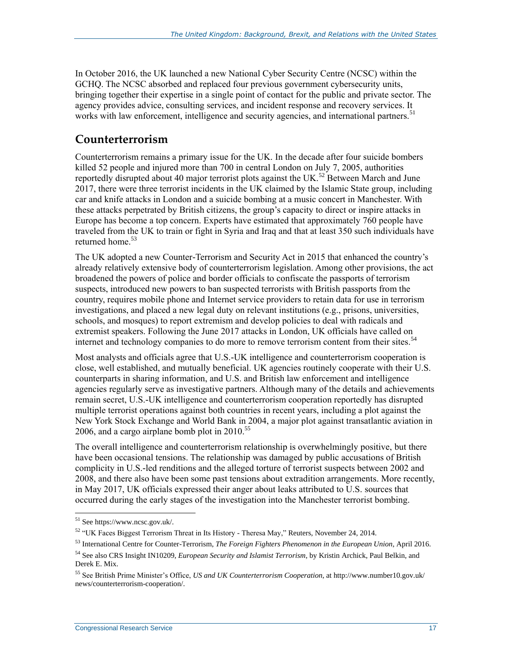In October 2016, the UK launched a new National Cyber Security Centre (NCSC) within the GCHQ. The NCSC absorbed and replaced four previous government cybersecurity units, bringing together their expertise in a single point of contact for the public and private sector. The agency provides advice, consulting services, and incident response and recovery services. It works with law enforcement, intelligence and security agencies, and international partners.<sup>51</sup>

#### **Counterterrorism**

Counterterrorism remains a primary issue for the UK. In the decade after four suicide bombers killed 52 people and injured more than 700 in central London on July 7, 2005, authorities reportedly disrupted about 40 major terrorist plots against the UK.<sup>52</sup> Between March and June 2017, there were three terrorist incidents in the UK claimed by the Islamic State group, including car and knife attacks in London and a suicide bombing at a music concert in Manchester. With these attacks perpetrated by British citizens, the group's capacity to direct or inspire attacks in Europe has become a top concern. Experts have estimated that approximately 760 people have traveled from the UK to train or fight in Syria and Iraq and that at least 350 such individuals have returned home. 53

The UK adopted a new Counter-Terrorism and Security Act in 2015 that enhanced the country's already relatively extensive body of counterterrorism legislation. Among other provisions, the act broadened the powers of police and border officials to confiscate the passports of terrorism suspects, introduced new powers to ban suspected terrorists with British passports from the country, requires mobile phone and Internet service providers to retain data for use in terrorism investigations, and placed a new legal duty on relevant institutions (e.g., prisons, universities, schools, and mosques) to report extremism and develop policies to deal with radicals and extremist speakers. Following the June 2017 attacks in London, UK officials have called on internet and technology companies to do more to remove terrorism content from their sites.<sup>54</sup>

Most analysts and officials agree that U.S.-UK intelligence and counterterrorism cooperation is close, well established, and mutually beneficial. UK agencies routinely cooperate with their U.S. counterparts in sharing information, and U.S. and British law enforcement and intelligence agencies regularly serve as investigative partners. Although many of the details and achievements remain secret, U.S.-UK intelligence and counterterrorism cooperation reportedly has disrupted multiple terrorist operations against both countries in recent years, including a plot against the New York Stock Exchange and World Bank in 2004, a major plot against transatlantic aviation in 2006, and a cargo airplane bomb plot in  $2010^{55}$ 

The overall intelligence and counterterrorism relationship is overwhelmingly positive, but there have been occasional tensions. The relationship was damaged by public accusations of British complicity in U.S.-led renditions and the alleged torture of terrorist suspects between 2002 and 2008, and there also have been some past tensions about extradition arrangements. More recently, in May 2017, UK officials expressed their anger about leaks attributed to U.S. sources that occurred during the early stages of the investigation into the Manchester terrorist bombing.

<sup>51</sup> See https://www.ncsc.gov.uk/.

 $52$  "UK Faces Biggest Terrorism Threat in Its History - Theresa May," Reuters, November 24, 2014.

<sup>53</sup> International Centre for Counter-Terrorism, *The Foreign Fighters Phenomenon in the European Union*, April 2016.

<sup>54</sup> See also CRS Insight IN10209, *European Security and Islamist Terrorism*, by Kristin Archick, Paul Belkin, and Derek E. Mix.

<sup>55</sup> See British Prime Minister's Office, *US and UK Counterterrorism Cooperation*, at http://www.number10.gov.uk/ news/counterterrorism-cooperation/.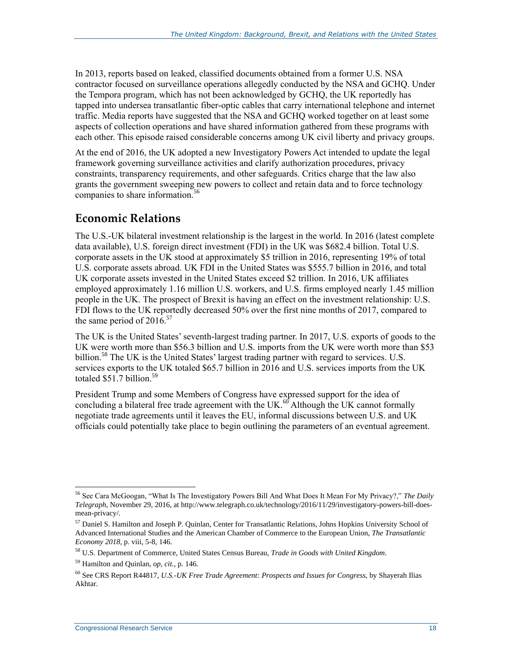In 2013, reports based on leaked, classified documents obtained from a former U.S. NSA contractor focused on surveillance operations allegedly conducted by the NSA and GCHQ. Under the Tempora program, which has not been acknowledged by GCHQ, the UK reportedly has tapped into undersea transatlantic fiber-optic cables that carry international telephone and internet traffic. Media reports have suggested that the NSA and GCHQ worked together on at least some aspects of collection operations and have shared information gathered from these programs with each other. This episode raised considerable concerns among UK civil liberty and privacy groups.

At the end of 2016, the UK adopted a new Investigatory Powers Act intended to update the legal framework governing surveillance activities and clarify authorization procedures, privacy constraints, transparency requirements, and other safeguards. Critics charge that the law also grants the government sweeping new powers to collect and retain data and to force technology companies to share information.<sup>56</sup>

#### **Economic Relations**

The U.S.-UK bilateral investment relationship is the largest in the world. In 2016 (latest complete data available), U.S. foreign direct investment (FDI) in the UK was \$682.4 billion. Total U.S. corporate assets in the UK stood at approximately \$5 trillion in 2016, representing 19% of total U.S. corporate assets abroad. UK FDI in the United States was \$555.7 billion in 2016, and total UK corporate assets invested in the United States exceed \$2 trillion. In 2016, UK affiliates employed approximately 1.16 million U.S. workers, and U.S. firms employed nearly 1.45 million people in the UK. The prospect of Brexit is having an effect on the investment relationship: U.S. FDI flows to the UK reportedly decreased 50% over the first nine months of 2017, compared to the same period of  $2016^{57}$ 

The UK is the United States' seventh-largest trading partner. In 2017, U.S. exports of goods to the UK were worth more than \$56.3 billion and U.S. imports from the UK were worth more than \$53 billion.<sup>58</sup> The UK is the United States' largest trading partner with regard to services. U.S. services exports to the UK totaled \$65.7 billion in 2016 and U.S. services imports from the UK totaled  $$51.7$  billion.<sup>59</sup>

President Trump and some Members of Congress have expressed support for the idea of concluding a bilateral free trade agreement with the UK.<sup>60</sup> Although the UK cannot formally negotiate trade agreements until it leaves the EU, informal discussions between U.S. and UK officials could potentially take place to begin outlining the parameters of an eventual agreement.

<sup>56</sup> See Cara McGoogan, "What Is The Investigatory Powers Bill And What Does It Mean For My Privacy?," *The Daily Telegraph*, November 29, 2016, at http://www.telegraph.co.uk/technology/2016/11/29/investigatory-powers-bill-doesmean-privacy/.

<sup>57</sup> Daniel S. Hamilton and Joseph P. Quinlan, Center for Transatlantic Relations, Johns Hopkins University School of Advanced International Studies and the American Chamber of Commerce to the European Union, *The Transatlantic Economy 2018*, p. viii, 5-8, 146.

<sup>58</sup> U.S. Department of Commerce, United States Census Bureau, *Trade in Goods with United Kingdom*.

<sup>59</sup> Hamilton and Quinlan, *op, cit.,* p. 146.

<sup>60</sup> See CRS Report R44817, *U.S.-UK Free Trade Agreement: Prospects and Issues for Congress*, by Shayerah Ilias Akhtar.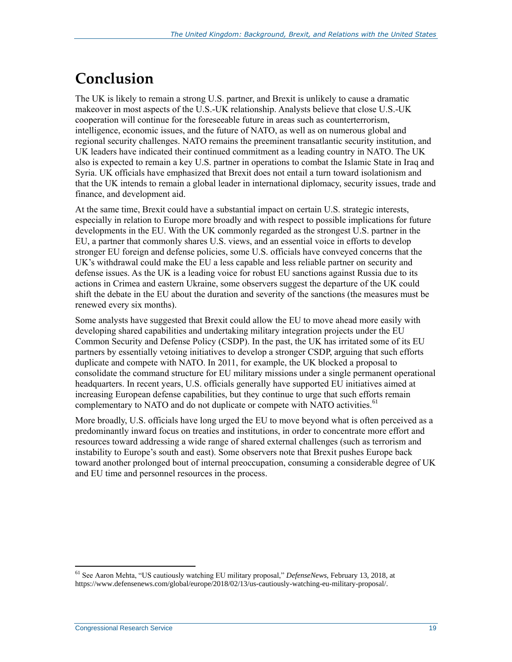## **Conclusion**

The UK is likely to remain a strong U.S. partner, and Brexit is unlikely to cause a dramatic makeover in most aspects of the U.S.-UK relationship. Analysts believe that close U.S.-UK cooperation will continue for the foreseeable future in areas such as counterterrorism, intelligence, economic issues, and the future of NATO, as well as on numerous global and regional security challenges. NATO remains the preeminent transatlantic security institution, and UK leaders have indicated their continued commitment as a leading country in NATO. The UK also is expected to remain a key U.S. partner in operations to combat the Islamic State in Iraq and Syria. UK officials have emphasized that Brexit does not entail a turn toward isolationism and that the UK intends to remain a global leader in international diplomacy, security issues, trade and finance, and development aid.

At the same time, Brexit could have a substantial impact on certain U.S. strategic interests, especially in relation to Europe more broadly and with respect to possible implications for future developments in the EU. With the UK commonly regarded as the strongest U.S. partner in the EU, a partner that commonly shares U.S. views, and an essential voice in efforts to develop stronger EU foreign and defense policies, some U.S. officials have conveyed concerns that the UK's withdrawal could make the EU a less capable and less reliable partner on security and defense issues. As the UK is a leading voice for robust EU sanctions against Russia due to its actions in Crimea and eastern Ukraine, some observers suggest the departure of the UK could shift the debate in the EU about the duration and severity of the sanctions (the measures must be renewed every six months).

Some analysts have suggested that Brexit could allow the EU to move ahead more easily with developing shared capabilities and undertaking military integration projects under the EU Common Security and Defense Policy (CSDP). In the past, the UK has irritated some of its EU partners by essentially vetoing initiatives to develop a stronger CSDP, arguing that such efforts duplicate and compete with NATO. In 2011, for example, the UK blocked a proposal to consolidate the command structure for EU military missions under a single permanent operational headquarters. In recent years, U.S. officials generally have supported EU initiatives aimed at increasing European defense capabilities, but they continue to urge that such efforts remain complementary to NATO and do not duplicate or compete with NATO activities.<sup>61</sup>

More broadly, U.S. officials have long urged the EU to move beyond what is often perceived as a predominantly inward focus on treaties and institutions, in order to concentrate more effort and resources toward addressing a wide range of shared external challenges (such as terrorism and instability to Europe's south and east). Some observers note that Brexit pushes Europe back toward another prolonged bout of internal preoccupation, consuming a considerable degree of UK and EU time and personnel resources in the process.

<sup>61</sup> See Aaron Mehta, "US cautiously watching EU military proposal," *DefenseNews*, February 13, 2018, at https://www.defensenews.com/global/europe/2018/02/13/us-cautiously-watching-eu-military-proposal/.